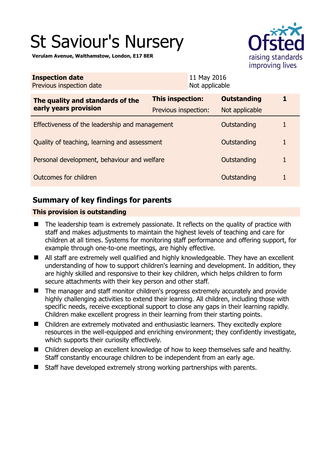# St Saviour's Nursery

**Verulam Avenue, Walthamstow, London, E17 8ER** 



| <b>Inspection date</b><br>Previous inspection date        |                      | 11 May 2016<br>Not applicable |                    |   |
|-----------------------------------------------------------|----------------------|-------------------------------|--------------------|---|
| The quality and standards of the<br>early years provision | This inspection:     |                               | <b>Outstanding</b> |   |
|                                                           | Previous inspection: |                               | Not applicable     |   |
| Effectiveness of the leadership and management            |                      |                               | Outstanding        |   |
| Quality of teaching, learning and assessment              |                      |                               | Outstanding        | 1 |
| Personal development, behaviour and welfare               |                      |                               | Outstanding        | 1 |
| Outcomes for children                                     |                      |                               | Outstanding        |   |

# **Summary of key findings for parents**

## **This provision is outstanding**

- The leadership team is extremely passionate. It reflects on the quality of practice with staff and makes adjustments to maintain the highest levels of teaching and care for children at all times. Systems for monitoring staff performance and offering support, for example through one-to-one meetings, are highly effective.
- All staff are extremely well qualified and highly knowledgeable. They have an excellent understanding of how to support children's learning and development. In addition, they are highly skilled and responsive to their key children, which helps children to form secure attachments with their key person and other staff.
- The manager and staff monitor children's progress extremely accurately and provide highly challenging activities to extend their learning. All children, including those with specific needs, receive exceptional support to close any gaps in their learning rapidly. Children make excellent progress in their learning from their starting points.
- Children are extremely motivated and enthusiastic learners. They excitedly explore resources in the well-equipped and enriching environment; they confidently investigate, which supports their curiosity effectively.
- Children develop an excellent knowledge of how to keep themselves safe and healthy. Staff constantly encourage children to be independent from an early age.
- Staff have developed extremely strong working partnerships with parents.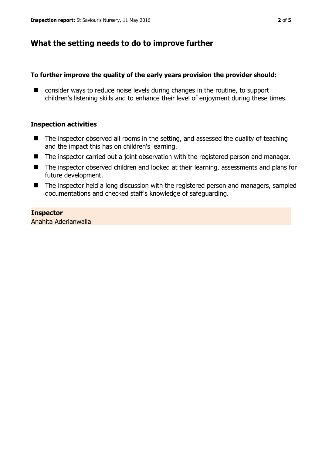## **What the setting needs to do to improve further**

### **To further improve the quality of the early years provision the provider should:**

■ consider ways to reduce noise levels during changes in the routine, to support children's listening skills and to enhance their level of enjoyment during these times.

### **Inspection activities**

- $\blacksquare$  The inspector observed all rooms in the setting, and assessed the quality of teaching and the impact this has on children's learning.
- The inspector carried out a joint observation with the registered person and manager.
- The inspector observed children and looked at their learning, assessments and plans for future development.
- The inspector held a long discussion with the registered person and managers, sampled documentations and checked staff's knowledge of safeguarding.

## **Inspector**

Anahita Aderianwalla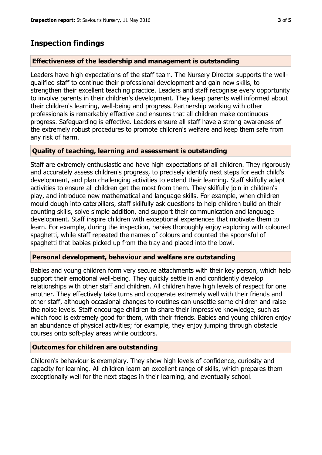## **Inspection findings**

## **Effectiveness of the leadership and management is outstanding**

Leaders have high expectations of the staff team. The Nursery Director supports the wellqualified staff to continue their professional development and gain new skills, to strengthen their excellent teaching practice. Leaders and staff recognise every opportunity to involve parents in their children's development. They keep parents well informed about their children's learning, well-being and progress. Partnership working with other professionals is remarkably effective and ensures that all children make continuous progress. Safeguarding is effective. Leaders ensure all staff have a strong awareness of the extremely robust procedures to promote children's welfare and keep them safe from any risk of harm.

### **Quality of teaching, learning and assessment is outstanding**

Staff are extremely enthusiastic and have high expectations of all children. They rigorously and accurately assess children's progress, to precisely identify next steps for each child's development, and plan challenging activities to extend their learning. Staff skilfully adapt activities to ensure all children get the most from them. They skilfully join in children's play, and introduce new mathematical and language skills. For example, when children mould dough into caterpillars, staff skilfully ask questions to help children build on their counting skills, solve simple addition, and support their communication and language development. Staff inspire children with exceptional experiences that motivate them to learn. For example, during the inspection, babies thoroughly enjoy exploring with coloured spaghetti, while staff repeated the names of colours and counted the spoonsful of spaghetti that babies picked up from the tray and placed into the bowl.

## **Personal development, behaviour and welfare are outstanding**

Babies and young children form very secure attachments with their key person, which help support their emotional well-being. They quickly settle in and confidently develop relationships with other staff and children. All children have high levels of respect for one another. They effectively take turns and cooperate extremely well with their friends and other staff, although occasional changes to routines can unsettle some children and raise the noise levels. Staff encourage children to share their impressive knowledge, such as which food is extremely good for them, with their friends. Babies and young children enjoy an abundance of physical activities; for example, they enjoy jumping through obstacle courses onto soft-play areas while outdoors.

## **Outcomes for children are outstanding**

Children's behaviour is exemplary. They show high levels of confidence, curiosity and capacity for learning. All children learn an excellent range of skills, which prepares them exceptionally well for the next stages in their learning, and eventually school.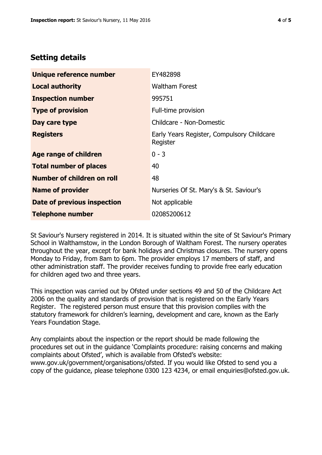## **Setting details**

| Unique reference number       | EY482898                                               |  |
|-------------------------------|--------------------------------------------------------|--|
| <b>Local authority</b>        | <b>Waltham Forest</b>                                  |  |
| <b>Inspection number</b>      | 995751                                                 |  |
| <b>Type of provision</b>      | Full-time provision                                    |  |
| Day care type                 | Childcare - Non-Domestic                               |  |
| <b>Registers</b>              | Early Years Register, Compulsory Childcare<br>Register |  |
| <b>Age range of children</b>  | $0 - 3$                                                |  |
| <b>Total number of places</b> | 40                                                     |  |
| Number of children on roll    | 48                                                     |  |
| <b>Name of provider</b>       | Nurseries Of St. Mary's & St. Saviour's                |  |
| Date of previous inspection   | Not applicable                                         |  |
| <b>Telephone number</b>       | 02085200612                                            |  |

St Saviour's Nursery registered in 2014. It is situated within the site of St Saviour's Primary School in Walthamstow, in the London Borough of Waltham Forest. The nursery operates throughout the year, except for bank holidays and Christmas closures. The nursery opens Monday to Friday, from 8am to 6pm. The provider employs 17 members of staff, and other administration staff. The provider receives funding to provide free early education for children aged two and three years.

This inspection was carried out by Ofsted under sections 49 and 50 of the Childcare Act 2006 on the quality and standards of provision that is registered on the Early Years Register. The registered person must ensure that this provision complies with the statutory framework for children's learning, development and care, known as the Early Years Foundation Stage.

Any complaints about the inspection or the report should be made following the procedures set out in the guidance 'Complaints procedure: raising concerns and making complaints about Ofsted', which is available from Ofsted's website: www.gov.uk/government/organisations/ofsted. If you would like Ofsted to send you a copy of the guidance, please telephone 0300 123 4234, or email enquiries@ofsted.gov.uk.